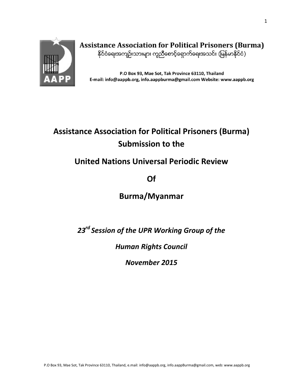

**Assistance Association for Political Prisoners (Burma)** နိုင်ငံရေးအကျဉ်းသားများ ကူညီစောင့်ရှောက်ရေးအသင်း (မြန်မာနိုင်ငံ)

P.O Box 93, Mae Sot, Tak Province 63110, Thailand E-mail: info@aappb.org, info.aappburma@gmail.com Website: www.aappb.org

# **Assistance Association for Political Prisoners (Burma) Submission to the**

# **United Nations Universal Periodic Review**

**Of**

# **Burma/Myanmar**

*23rd Session of the UPR Working Group of the*

*Human Rights Council*

*November 2015*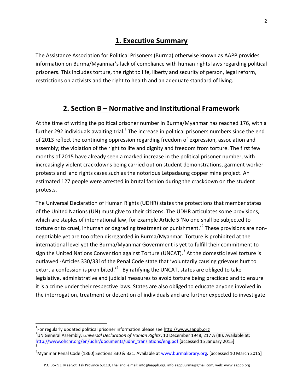## **1. Executive Summary**

The Assistance Association for Political Prisoners (Burma) otherwise known as AAPP provides information on Burma/Myanmar's lack of compliance with human rights laws regarding political prisoners. This includes torture, the right to life, liberty and security of person, legal reform, restrictions on activists and the right to health and an adequate standard of living.

## **2. Section B – Normative and Institutional Framework**

At the time of writing the political prisoner number in Burma/Myanmar has reached 176, with a further 292 individuals awaiting trial.<sup>1</sup> The increase in political prisoners numbers since the end of 2013 reflect the continuing oppression regarding freedom of expression, association and assembly; the violation of the right to life and dignity and freedom from torture. The first few months of 2015 have already seen a marked increase in the political prisoner number, with increasingly violent crackdowns being carried out on student demonstrations, garment worker protests and land rights cases such as the notorious Letpadaung copper mine project. An estimated 127 people were arrested in brutal fashion during the crackdown on the student protests.

The Universal Declaration of Human Rights (UDHR) states the protections that member states of the United Nations (UN) must give to their citizens. The UDHR articulates some provisions, which are staples of international law, for example Article 5 'No one shall be subjected to torture or to cruel, inhuman or degrading treatment or punishment.<sup>2</sup> These provisions are nonnegotiable yet are too often disregarded in Burma/Myanmar. Torture is prohibited at the international level yet the Burma/Myanmar Government is yet to fulfill their commitment to sign the United Nations Convention against Torture (UNCAT). $^3$  At the domestic level torture is outlawed -Articles 330/331of the Penal Code state that 'voluntarily causing grievous hurt to extort a confession is prohibited. $'$ <sup>4</sup> By ratifying the UNCAT, states are obliged to take legislative, administrative and judicial measures to avoid torture being practiced and to ensure it is a crime under their respective laws. States are also obliged to educate anyone involved in the interrogation, treatment or detention of individuals and are further expected to investigate

l

<sup>&</sup>lt;sup>1</sup>For regularly updated political prisoner information please see [http://www.aappb.org](http://www.aappb.org/)

<sup>2</sup> UN General Assembly, *Universal Declaration of Human Rights*, 10 December 1948, 217 A (III). Available at: [http://www.ohchr.org/en/udhr/documents/udhr\\_translations/eng.pdf](http://www.ohchr.org/en/udhr/documents/udhr_translations/eng.pdf) [accessed 15 January 2015] 3

<sup>4</sup>Myanmar Penal Code (1860) Sections 330 & 331. Available a[t www.burmalibrary.org.](http://www.burmalibrary.org/) [accessed 10 March 2015]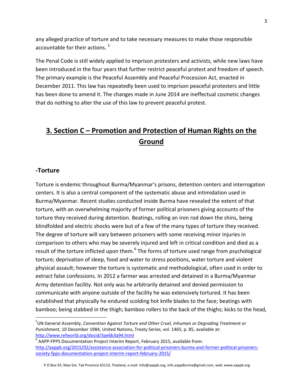any alleged practice of torture and to take necessary measures to make those responsible accountable for their actions. <sup>5</sup>

The Penal Code is still widely applied to imprison protesters and activists, while new laws have been introduced in the four years that further restrict peaceful protest and freedom of speech. The primary example is the Peaceful Assembly and Peaceful Procession Act, enacted in December 2011. This law has repeatedly been used to imprison peaceful protesters and little has been done to amend it. The changes made in June 2014 are ineffectual cosmetic changes that do nothing to alter the use of this law to prevent peaceful protest.

## **3. Section C – Promotion and Protection of Human Rights on the Ground**

#### **-Torture**

 $\overline{a}$ 

Torture is endemic throughout Burma/Myanmar's prisons, detention centers and interrogation centers. It is also a central component of the systematic abuse and intimidation used in Burma/Myanmar. Recent studies conducted inside Burma have revealed the extent of that torture, with an overwhelming majority of former political prisoners giving accounts of the torture they received during detention. Beatings, rolling an iron rod down the shins, being blindfolded and electric shocks were but of a few of the many types of torture they received. The degree of torture will vary between prisoners with some receiving minor injuries in comparison to others who may be severely injured and left in critical condition and died as a result of the torture inflicted upon them.<sup>6</sup> The forms of torture used range from psychological torture; deprivation of sleep, food and water to stress positions, water torture and violent physical assault; however the torture is systematic and methodological, often used in order to extract false confessions. In 2012 a farmer was arrested and detained in a Burma/Myanmar Army detention facility. Not only was he arbitrarily detained and denied permission to communicate with anyone outside of the facility he was extensively tortured. It has been established that physically he endured scolding hot knife blades to the face; beatings with bamboo; being stabbed in the thigh; bamboo rollers to the back of the thighs; kicks to the head,

<sup>5</sup> UN General Assembly, *Convention Against Torture and Other Cruel, Inhuman or Degrading Treatment or Punishment*, 10 December 1984, United Nations, Treaty Series, vol. 1465, p. 85, available at: <http://www.refworld.org/docid/3ae6b3a94.html>

 $^6$  AAPP-FPPS Documentation Project Interim Report, February 2015, available from: [http://aappb.org/2015/02/assistance-association-for-political-prisoners-burma-and-former-political-prisoners](http://aappb.org/2015/02/assistance-association-for-political-prisoners-burma-and-former-political-prisoners-society-fpps-documentation-project-interim-report-february-2015/)[society-fpps-documentation-project-interim-report-february-2015/](http://aappb.org/2015/02/assistance-association-for-political-prisoners-burma-and-former-political-prisoners-society-fpps-documentation-project-interim-report-february-2015/)

P.O Box 93, Mae Sot, Tak Province 63110, Thailand, e.mail: info@aappb.org, info.aappBurma@gmail.com, web: www.aappb.org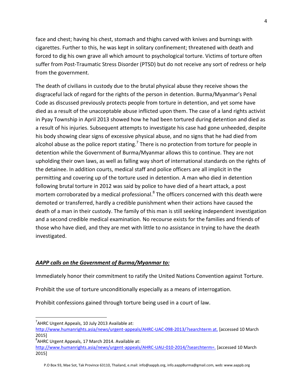face and chest; having his chest, stomach and thighs carved with knives and burnings with cigarettes. Further to this, he was kept in solitary confinement; threatened with death and forced to dig his own grave all which amount to psychological torture. Victims of torture often suffer from Post-Traumatic Stress Disorder (PTSD) but do not receive any sort of redress or help from the government.

The death of civilians in custody due to the brutal physical abuse they receive shows the disgraceful lack of regard for the rights of the person in detention. Burma/Myanmar's Penal Code as discussed previously protects people from torture in detention, and yet some have died as a result of the unacceptable abuse inflicted upon them. The case of a land rights activist in Pyay Township in April 2013 showed how he had been tortured during detention and died as a result of his injuries. Subsequent attempts to investigate his case had gone unheeded, despite his body showing clear signs of excessive physical abuse, and no signs that he had died from alcohol abuse as the police report stating.<sup>7</sup> There is no protection from torture for people in detention while the Government of Burma/Myanmar allows this to continue. They are not upholding their own laws, as well as falling way short of international standards on the rights of the detainee. In addition courts, medical staff and police officers are all implicit in the permitting and covering up of the torture used in detention. A man who died in detention following brutal torture in 2012 was said by police to have died of a heart attack, a post mortem corroborated by a medical professional.<sup>8</sup> The officers concerned with this death were demoted or transferred, hardly a credible punishment when their actions have caused the death of a man in their custody. The family of this man is still seeking independent investigation and a second credible medical examination. No recourse exists for the families and friends of those who have died, and they are met with little to no assistance in trying to have the death investigated.

#### *AAPP calls on the Government of Burma/Myanmar to:*

Immediately honor their commitment to ratify the United Nations Convention against Torture.

Prohibit the use of torture unconditionally especially as a means of interrogation.

Prohibit confessions gained through torture being used in a court of law.

 $\overline{a}$ 

 $7$ AHRC Urgent Appeals, 10 July 2013 Available at:

[http://www.humanrights.asia/news/urgent-appeals/AHRC-UAC-098-2013/?searchterm at.](http://www.humanrights.asia/news/urgent-appeals/AHRC-UAC-098-2013/?searchterm%20at.) [accessed 10 March 2015]

 ${}^{8}$ AHRC Urgent Appeals, 17 March 2014. Available at:

<http://www.humanrights.asia/news/urgent-appeals/AHRC-UAU-010-2014/?searchterm=.> [accessed 10 March 2015]

P.O Box 93, Mae Sot, Tak Province 63110, Thailand, e.mail: info@aappb.org, info.aappBurma@gmail.com, web: www.aappb.org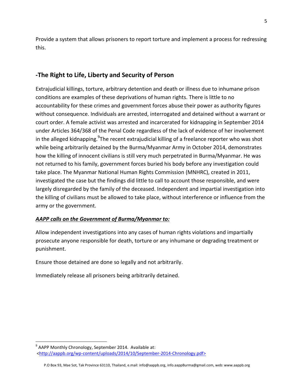Provide a system that allows prisoners to report torture and implement a process for redressing this.

### **-The Right to Life, Liberty and Security of Person**

Extrajudicial killings, torture, arbitrary detention and death or illness due to inhumane prison conditions are examples of these deprivations of human rights. There is little to no accountability for these crimes and government forces abuse their power as authority figures without consequence. Individuals are arrested, interrogated and detained without a warrant or court order. A female activist was arrested and incarcerated for kidnapping in September 2014 under Articles 364/368 of the Penal Code regardless of the lack of evidence of her involvement in the alleged kidnapping.<sup>9</sup>The recent extrajudicial killing of a freelance reporter who was shot while being arbitrarily detained by the Burma/Myanmar Army in October 2014, demonstrates how the killing of innocent civilians is still very much perpetrated in Burma/Myanmar. He was not returned to his family, government forces buried his body before any investigation could take place. The Myanmar National Human Rights Commission (MNHRC), created in 2011, investigated the case but the findings did little to call to account those responsible, and were largely disregarded by the family of the deceased. Independent and impartial investigation into the killing of civilians must be allowed to take place, without interference or influence from the army or the government.

### *AAPP calls on the Government of Burma/Myanmar to:*

Allow independent investigations into any cases of human rights violations and impartially prosecute anyone responsible for death, torture or any inhumane or degrading treatment or punishment.

Ensure those detained are done so legally and not arbitrarily.

Immediately release all prisoners being arbitrarily detained.

l

<sup>&</sup>lt;sup>9</sup> AAPP Monthly Chronology, September 2014. Available at: [<http://aappb.org/wp-content/uploads/2014/10/September-2014-Chronology.pdf>](http://aappb.org/wp-content/uploads/2014/10/September-2014-Chronology.pdf)

P.O Box 93, Mae Sot, Tak Province 63110, Thailand, e.mail: info@aappb.org, info.aappBurma@gmail.com, web: www.aappb.org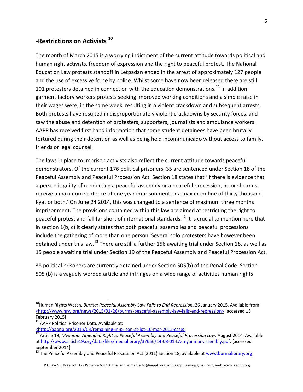### **-Restrictions on Activists <sup>10</sup>**

The month of March 2015 is a worrying indictment of the current attitude towards political and human right activists, freedom of expression and the right to peaceful protest. The National Education Law protests standoff in Letpadan ended in the arrest of approximately 127 people and the use of excessive force by police. Whilst some have now been released there are still 101 protesters detained in connection with the education demonstrations.<sup>11</sup> In addition garment factory workers protests seeking improved working conditions and a simple raise in their wages were, in the same week, resulting in a violent crackdown and subsequent arrests. Both protests have resulted in disproportionately violent crackdowns by security forces, and saw the abuse and detention of protesters, supporters, journalists and ambulance workers. AAPP has received first hand information that some student detainees have been brutally tortured during their detention as well as being held incommunicado without access to family, friends or legal counsel.

The laws in place to imprison activists also reflect the current attitude towards peaceful demonstrators. Of the current 176 political prisoners, 35 are sentenced under Section 18 of the Peaceful Assembly and Peaceful Procession Act. Section 18 states that 'If there is evidence that a person is guilty of conducting a peaceful assembly or a peaceful procession, he or she must receive a maximum sentence of one year imprisonment or a maximum fine of thirty thousand Kyat or both.' On June 24 2014, this was changed to a sentence of maximum three months imprisonment. The provisions contained within this law are aimed at restricting the right to peaceful protest and fall far short of international standards.<sup>12</sup> It is crucial to mention here that in section 1(b, c) it clearly states that both peaceful assemblies and peaceful processions include the gathering of more than one person. Several solo protesters have however been detained under this law.<sup>13</sup> There are still a further 156 awaiting trial under Section 18, as well as 15 people awaiting trial under Section 19 of the Peaceful Assembly and Peaceful Procession Act.

38 political prisoners are currently detained under Section 505(b) of the Penal Code. Section 505 (b) is a vaguely worded article and infringes on a wide range of activities human rights

 $\overline{\phantom{a}}$ 

<sup>&</sup>lt;sup>10</sup>Human Rights Watch, *Burma: Peaceful Assembly Law Fails to End Repression*, 26 January 2015. Available from: [<http://www.hrw.org/news/2015/01/26/burma-peaceful-assembly-law-fails-end-repression>](http://www.hrw.org/news/2015/01/26/burma-peaceful-assembly-law-fails-end-repression) [accessed 15 February 2015]

<sup>&</sup>lt;sup>11</sup> AAPP Political Prisoner Data. Available at: [<http://aappb.org/2015/03/remaining-in-prison-at-lpt-10-mar-2015-case>](http://aappb.org/2015/03/remaining-in-prison-at-lpt-10-mar-2015-case)

<sup>&</sup>lt;sup>12</sup> Article 19, *Myanmar Amended Right to Peaceful Assembly and Peaceful Procession Law, August 2014. Available* a[t http://www.article19.org/data/files/medialibrary/37666/14-08-01-LA-myanmar-assembly.pdf.](http://www.article19.org/data/files/medialibrary/37666/14-08-01-LA-myanmar-assembly.pdf) [accessed September 2014]

<sup>&</sup>lt;sup>13</sup> The Peaceful Assembly and Peaceful Procession Act (2011) Section 18, available at [www.burmalibrary.org](http://www.burmalibrary.org/)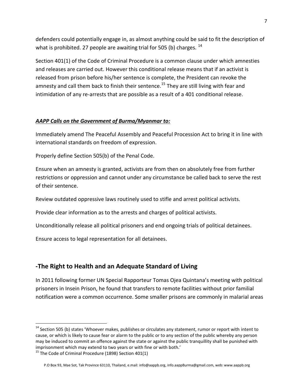defenders could potentially engage in, as almost anything could be said to fit the description of what is prohibited. 27 people are awaiting trial for 505 (b) charges.  $^{14}$ 

Section 401(1) of the Code of Criminal Procedure is a common clause under which amnesties and releases are carried out. However this conditional release means that if an activist is released from prison before his/her sentence is complete, the President can revoke the amnesty and call them back to finish their sentence.<sup>15</sup> They are still living with fear and intimidation of any re-arrests that are possible as a result of a 401 conditional release.

#### *AAPP Calls on the Government of Burma/Myanmar to:*

Immediately amend The Peaceful Assembly and Peaceful Procession Act to bring it in line with international standards on freedom of expression.

Properly define Section 505(b) of the Penal Code.

Ensure when an amnesty is granted, activists are from then on absolutely free from further restrictions or oppression and cannot under any circumstance be called back to serve the rest of their sentence.

Review outdated oppressive laws routinely used to stifle and arrest political activists.

Provide clear information as to the arrests and charges of political activists.

Unconditionally release all political prisoners and end ongoing trials of political detainees.

Ensure access to legal representation for all detainees.

### **-The Right to Health and an Adequate Standard of Living**

In 2011 following former UN Special Rapporteur Tomas Ojea Quintana's meeting with political prisoners in Insein Prison, he found that transfers to remote facilities without prior familial notification were a common occurrence. Some smaller prisons are commonly in malarial areas

l

<sup>&</sup>lt;sup>14</sup> Section 505 (b) states 'Whoever makes, publishes or circulates any statement, rumor or report with intent to cause, or which is likely to cause fear or alarm to the public or to any section of the public whereby any person may be induced to commit an offence against the state or against the public tranquillity shall be punished with imprisonment which may extend to two years or with fine or with both.'

 $15$  The Code of Criminal Procedure (1898) Section 401(1)

P.O Box 93, Mae Sot, Tak Province 63110, Thailand, e.mail: info@aappb.org, info.aappBurma@gmail.com, web: www.aappb.org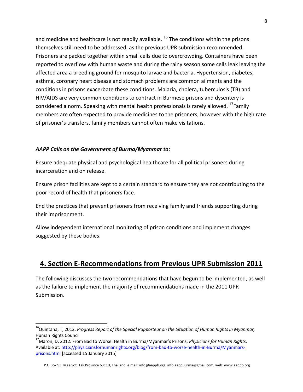and medicine and healthcare is not readily available.  $^{16}$  The conditions within the prisons themselves still need to be addressed, as the previous UPR submission recommended. Prisoners are packed together within small cells due to overcrowding. Containers have been reported to overflow with human waste and during the rainy season some cells leak leaving the affected area a breeding ground for mosquito larvae and bacteria. Hypertension, diabetes, asthma, coronary heart disease and stomach problems are common ailments and the conditions in prisons exacerbate these conditions. Malaria, cholera, tuberculosis (TB) and HIV/AIDS are very common conditions to contract in Burmese prisons and dysentery is considered a norm. Speaking with mental health professionals is rarely allowed. <sup>17</sup>Family members are often expected to provide medicines to the prisoners; however with the high rate of prisoner's transfers, family members cannot often make visitations.

#### *AAPP Calls on the Government of Burma/Myanmar to:*

l

Ensure adequate physical and psychological healthcare for all political prisoners during incarceration and on release.

Ensure prison facilities are kept to a certain standard to ensure they are not contributing to the poor record of health that prisoners face.

End the practices that prevent prisoners from receiving family and friends supporting during their imprisonment.

Allow independent international monitoring of prison conditions and implement changes suggested by these bodies.

## **4. Section E-Recommendations from Previous UPR Submission 2011**

The following discusses the two recommendations that have begun to be implemented, as well as the failure to implement the majority of recommendations made in the 2011 UPR Submission.

<sup>16</sup>Quintana, T, 2012. *Progress Report of the Special Rapporteur on the Situation of Human Rights in Myanmar,* Human Rights Council

<sup>17</sup>Maron, D, 2012. From Bad to Worse: Health in Burma/Myanmar's Prisons, *Physicians for Human Rights.*  Available at: [http://physiciansforhumanrights.org/blog/from-bad-to-worse-health-in-Burma/Myanmars](http://physiciansforhumanrights.org/blog/from-bad-to-worse-health-in-Burma/Myanmars-prisons.html)[prisons.html](http://physiciansforhumanrights.org/blog/from-bad-to-worse-health-in-Burma/Myanmars-prisons.html) [accessed 15 January 2015]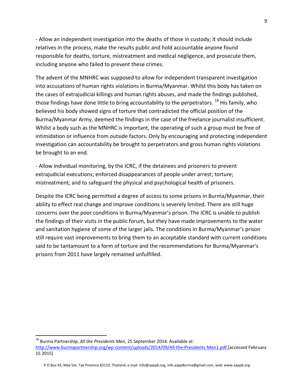- Allow an independent investigation into the deaths of those in custody; it should include relatives in the process, make the results public and hold accountable anyone found responsible for deaths, torture, mistreatment and medical negligence, and prosecute them, including anyone who failed to prevent these crimes.

The advent of the MNHRC was supposed to allow for independent transparent investigation into accusations of human rights violations in Burma/Myanmar. Whilst this body has taken on the cases of extrajudicial killings and human rights abuses, and made the findings published, those findings have done little to bring accountability to the perpetrators.  $^{18}$  His family, who believed his body showed signs of torture that contradicted the official position of the Burma/Myanmar Army, deemed the findings in the case of the freelance journalist insufficient. Whilst a body such as the MNHRC is important, the operating of such a group must be free of intimidation or influence from outside factors. Only by encouraging and protecting independent investigation can accountability be brought to perpetrators and gross human rights violations be brought to an end.

- Allow individual monitoring, by the ICRC, if the detainees and prisoners to prevent extrajudicial executions; enforced disappearances of people under arrest; torture; mistreatment; and to safeguard the physical and psychological health of prisoners.

Despite the ICRC being permitted a degree of access to some prisons in Burma/Myanmar, their ability to effect real change and improve conditions is severely limited. There are still huge concerns over the poor conditions in Burma/Myanmar's prison. The ICRC is unable to publish the findings of their visits in the public forum, but they have made improvements to the water and sanitation hygiene of some of the larger jails. The conditions in Burma/Myanmar's prison still require vast improvements to bring them to an acceptable standard with current conditions said to be tantamount to a form of torture and the recommendations for Burma/Myanmar's prisons from 2011 have largely remained unfulfilled.

 $\overline{\phantom{a}}$ 

<sup>18</sup> Burma Partnership, *All the Presidents Men*, 25 September 2014. Available at: [http://www.burmapartnership.org/wp-content/uploads/2014/09/All-the-Presidents-Men1.pdf.\[](http://www.burmapartnership.org/wp-content/uploads/2014/09/All-the-Presidents-Men1.pdf.)accessed February 15 2015]

P.O Box 93, Mae Sot, Tak Province 63110, Thailand, e.mail: info@aappb.org, info.aappBurma@gmail.com, web: www.aappb.org